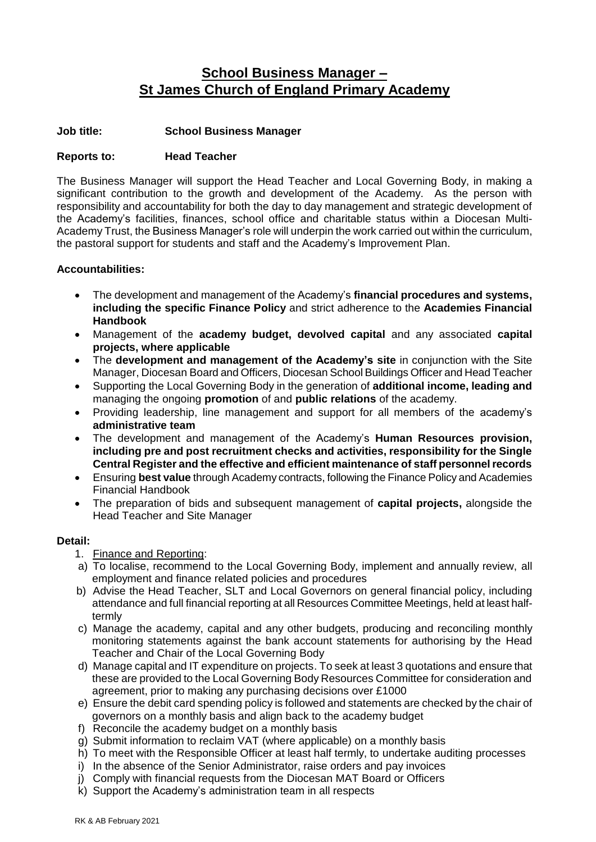# **School Business Manager – St James Church of England Primary Academy**

# **Job title: School Business Manager**

### **Reports to: Head Teacher**

The Business Manager will support the Head Teacher and Local Governing Body, in making a significant contribution to the growth and development of the Academy. As the person with responsibility and accountability for both the day to day management and strategic development of the Academy's facilities, finances, school office and charitable status within a Diocesan Multi-Academy Trust, the Business Manager's role will underpin the work carried out within the curriculum, the pastoral support for students and staff and the Academy's Improvement Plan.

# **Accountabilities:**

- The development and management of the Academy's **financial procedures and systems, including the specific Finance Policy** and strict adherence to the **Academies Financial Handbook**
- Management of the **academy budget, devolved capital** and any associated **capital projects, where applicable**
- The **development and management of the Academy's site** in conjunction with the Site Manager, Diocesan Board and Officers, Diocesan School Buildings Officer and Head Teacher
- Supporting the Local Governing Body in the generation of **additional income, leading and**  managing the ongoing **promotion** of and **public relations** of the academy.
- Providing leadership, line management and support for all members of the academy's **administrative team**
- The development and management of the Academy's **Human Resources provision, including pre and post recruitment checks and activities, responsibility for the Single Central Register and the effective and efficient maintenance of staff personnel records**
- Ensuring **best value** through Academy contracts, following the Finance Policy and Academies Financial Handbook
- The preparation of bids and subsequent management of **capital projects,** alongside the Head Teacher and Site Manager

#### **Detail:**

- 1. Finance and Reporting:
- a) To localise, recommend to the Local Governing Body, implement and annually review, all employment and finance related policies and procedures
- b) Advise the Head Teacher, SLT and Local Governors on general financial policy, including attendance and full financial reporting at all Resources Committee Meetings, held at least halftermly
- c) Manage the academy, capital and any other budgets, producing and reconciling monthly monitoring statements against the bank account statements for authorising by the Head Teacher and Chair of the Local Governing Body
- d) Manage capital and IT expenditure on projects. To seek at least 3 quotations and ensure that these are provided to the Local Governing Body Resources Committee for consideration and agreement, prior to making any purchasing decisions over £1000
- e) Ensure the debit card spending policy is followed and statements are checked by the chair of governors on a monthly basis and align back to the academy budget
- f) Reconcile the academy budget on a monthly basis
- g) Submit information to reclaim VAT (where applicable) on a monthly basis
- h) To meet with the Responsible Officer at least half termly, to undertake auditing processes
- i) In the absence of the Senior Administrator, raise orders and pay invoices
- j) Comply with financial requests from the Diocesan MAT Board or Officers
- k) Support the Academy's administration team in all respects